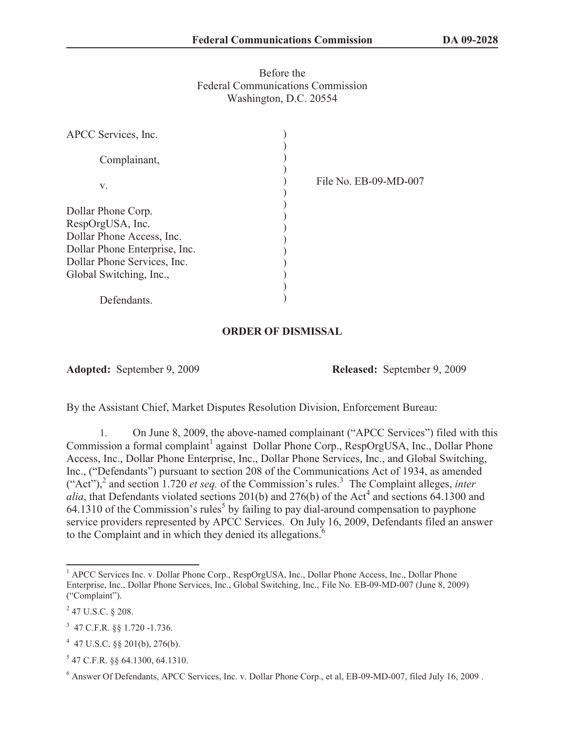## Before the Federal Communications Commission Washington, D.C. 20554

| APCC Services, Inc.           |                       |
|-------------------------------|-----------------------|
| Complainant,                  |                       |
| V.                            | File No. EB-09-MD-007 |
| Dollar Phone Corp.            |                       |
| RespOrgUSA, Inc.              |                       |
| Dollar Phone Access, Inc.     |                       |
| Dollar Phone Enterprise, Inc. |                       |
| Dollar Phone Services, Inc.   |                       |
| Global Switching, Inc.,       |                       |
|                               |                       |
| Defendants.                   |                       |

## **ORDER OF DISMISSAL**

**Adopted:** September 9, 2009 **Released:** September 9, 2009

By the Assistant Chief, Market Disputes Resolution Division, Enforcement Bureau:

1. On June 8, 2009, the above-named complainant ("APCC Services") filed with this Commission a formal complaint<sup>1</sup> against Dollar Phone Corp., RespOrgUSA, Inc., Dollar Phone Access, Inc., Dollar Phone Enterprise, Inc., Dollar Phone Services, Inc., and Global Switching, Inc., ("Defendants") pursuant to section 208 of the Communications Act of 1934, as amended  $("Act")$ , and section 1.720 *et seq.* of the Commission's rules.<sup>3</sup> The Complaint alleges, *inter alia*, that Defendants violated sections 201(b) and 276(b) of the Act<sup>4</sup> and sections  $\overline{64}$ .1300 and  $64.1310$  of the Commission's rules<sup>5</sup> by failing to pay dial-around compensation to payphone service providers represented by APCC Services. On July 16, 2009, Defendants filed an answer to the Complaint and in which they denied its allegations.<sup>6</sup>

<sup>&</sup>lt;sup>1</sup> APCC Services Inc. v. Dollar Phone Corp., RespOrgUSA, Inc., Dollar Phone Access, Inc., Dollar Phone Enterprise, Inc., Dollar Phone Services, Inc., Global Switching, Inc., File No. EB-09-MD-007 (June 8, 2009) ("Complaint").

 $^{2}$  47 U.S.C. § 208.

<sup>3</sup> 47 C.F.R. §§ 1.720 -1.736.

 $4$  47 U.S.C. §§ 201(b), 276(b).

<sup>5</sup> 47 C.F.R. §§ 64.1300, 64.1310.

<sup>6</sup> Answer Of Defendants, APCC Services, Inc. v. Dollar Phone Corp., et al, EB-09-MD-007, filed July 16, 2009 .